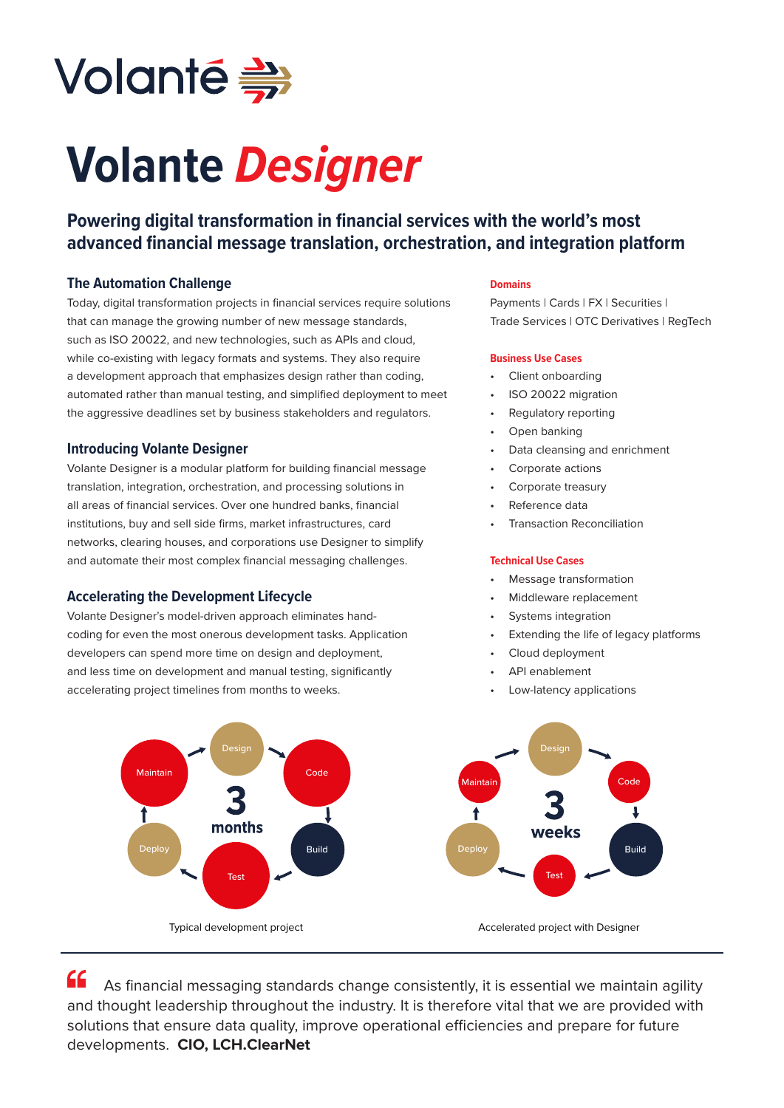

# **Volante** *Designer*

## **Powering digital transformation in financial services with the world's most advanced financial message translation, orchestration, and integration platform**

## **The Automation Challenge**

Today, digital transformation projects in financial services require solutions that can manage the growing number of new message standards, such as ISO 20022, and new technologies, such as APIs and cloud, while co-existing with legacy formats and systems. They also require a development approach that emphasizes design rather than coding, automated rather than manual testing, and simplified deployment to meet the aggressive deadlines set by business stakeholders and regulators.

## **Introducing Volante Designer**

Volante Designer is a modular platform for building financial message translation, integration, orchestration, and processing solutions in all areas of financial services. Over one hundred banks, financial institutions, buy and sell side firms, market infrastructures, card networks, clearing houses, and corporations use Designer to simplify and automate their most complex financial messaging challenges.

## **Accelerating the Development Lifecycle**

Volante Designer's model-driven approach eliminates handcoding for even the most onerous development tasks. Application developers can spend more time on design and deployment, and less time on development and manual testing, significantly accelerating project timelines from months to weeks.

## **Domains**

Payments | Cards | FX | Securities | Trade Services | OTC Derivatives | RegTech

## **Business Use Cases**

- Client onboarding
- ISO 20022 migration
- Regulatory reporting
- Open banking
- Data cleansing and enrichment
- Corporate actions
- Corporate treasury
- Reference data
- Transaction Reconciliation

## **Technical Use Cases**

- Message transformation
- Middleware replacement
- Systems integration
- Extending the life of legacy platforms
- Cloud deployment
- API enablement
- Low-latency applications



 As financial messaging standards change consistently, it is essential we maintain agility and thought leadership throughout the industry. It is therefore vital that we are provided with solutions that ensure data quality, improve operational efficiencies and prepare for future developments. **CIO, LCH.ClearNet**